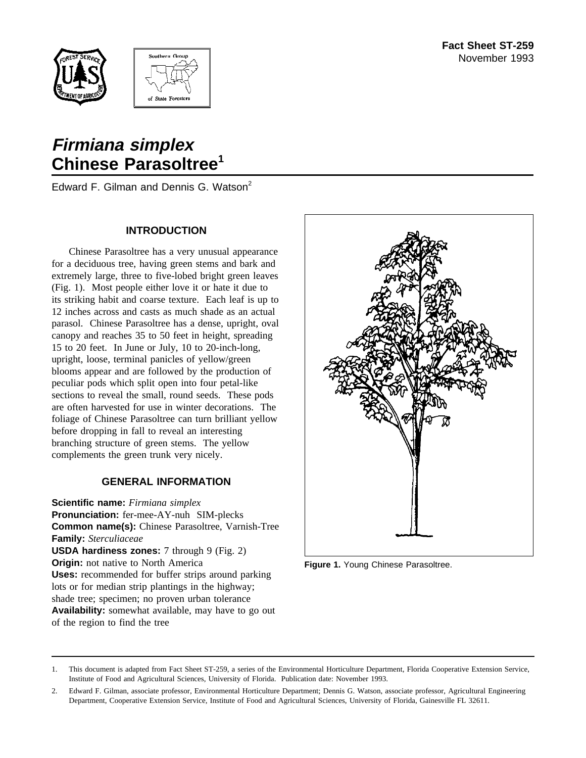



# **Firmiana simplex Chinese Parasoltree<sup>1</sup>**

Edward F. Gilman and Dennis G. Watson<sup>2</sup>

#### **INTRODUCTION**

Chinese Parasoltree has a very unusual appearance for a deciduous tree, having green stems and bark and extremely large, three to five-lobed bright green leaves (Fig. 1). Most people either love it or hate it due to its striking habit and coarse texture. Each leaf is up to 12 inches across and casts as much shade as an actual parasol. Chinese Parasoltree has a dense, upright, oval canopy and reaches 35 to 50 feet in height, spreading 15 to 20 feet. In June or July, 10 to 20-inch-long, upright, loose, terminal panicles of yellow/green blooms appear and are followed by the production of peculiar pods which split open into four petal-like sections to reveal the small, round seeds. These pods are often harvested for use in winter decorations. The foliage of Chinese Parasoltree can turn brilliant yellow before dropping in fall to reveal an interesting branching structure of green stems. The yellow complements the green trunk very nicely.

## **GENERAL INFORMATION**

**Scientific name:** *Firmiana simplex* **Pronunciation:** fer-mee-AY-nuh SIM-plecks **Common name(s):** Chinese Parasoltree, Varnish-Tree **Family:** *Sterculiaceae* **USDA hardiness zones:** 7 through 9 (Fig. 2) **Origin:** not native to North America **Uses:** recommended for buffer strips around parking lots or for median strip plantings in the highway; shade tree; specimen; no proven urban tolerance **Availability:** somewhat available, may have to go out of the region to find the tree



**Figure 1.** Young Chinese Parasoltree.

<sup>1.</sup> This document is adapted from Fact Sheet ST-259, a series of the Environmental Horticulture Department, Florida Cooperative Extension Service, Institute of Food and Agricultural Sciences, University of Florida. Publication date: November 1993.

<sup>2.</sup> Edward F. Gilman, associate professor, Environmental Horticulture Department; Dennis G. Watson, associate professor, Agricultural Engineering Department, Cooperative Extension Service, Institute of Food and Agricultural Sciences, University of Florida, Gainesville FL 32611.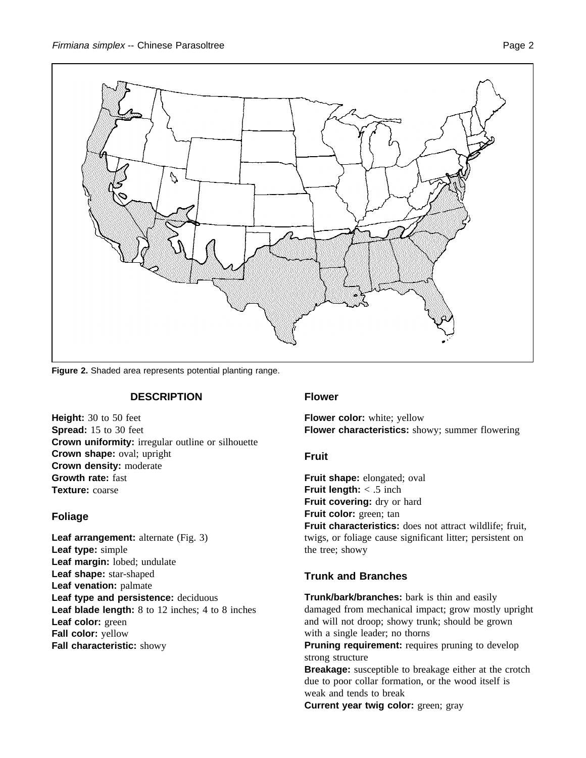

**Figure 2.** Shaded area represents potential planting range.

## **DESCRIPTION**

**Height:** 30 to 50 feet **Spread:** 15 to 30 feet **Crown uniformity:** irregular outline or silhouette **Crown shape:** oval; upright **Crown density:** moderate **Growth rate:** fast **Texture:** coarse

# **Foliage**

Leaf arrangement: alternate (Fig. 3) **Leaf type:** simple **Leaf margin:** lobed; undulate **Leaf shape:** star-shaped **Leaf venation:** palmate **Leaf type and persistence:** deciduous **Leaf blade length:** 8 to 12 inches; 4 to 8 inches **Leaf color:** green **Fall color:** yellow **Fall characteristic:** showy

## **Flower**

**Flower color:** white; yellow **Flower characteristics:** showy; summer flowering

## **Fruit**

**Fruit shape:** elongated; oval **Fruit length:** < .5 inch **Fruit covering:** dry or hard **Fruit color:** green; tan **Fruit characteristics:** does not attract wildlife; fruit, twigs, or foliage cause significant litter; persistent on the tree; showy

# **Trunk and Branches**

**Trunk/bark/branches:** bark is thin and easily damaged from mechanical impact; grow mostly upright and will not droop; showy trunk; should be grown with a single leader; no thorns

**Pruning requirement:** requires pruning to develop strong structure

**Breakage:** susceptible to breakage either at the crotch due to poor collar formation, or the wood itself is weak and tends to break

**Current year twig color:** green; gray